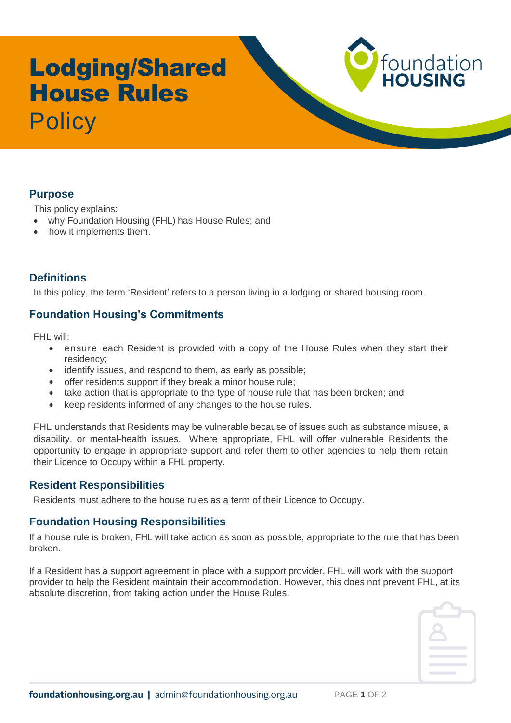# Lodging/Shared House Rules **Policy**



This policy explains:

- why Foundation Housing (FHL) has House Rules; and
- how it implements them.

# **Definitions**

In this policy, the term 'Resident' refers to a person living in a lodging or shared housing room.

# **Foundation Housing's Commitments**

FHL will:

- ensure each Resident is provided with a copy of the House Rules when they start their residency;
- identify issues, and respond to them, as early as possible;
- offer residents support if they break a minor house rule;
- take action that is appropriate to the type of house rule that has been broken; and
- keep residents informed of any changes to the house rules.

FHL understands that Residents may be vulnerable because of issues such as substance misuse, a disability, or mental-health issues. Where appropriate, FHL will offer vulnerable Residents the opportunity to engage in appropriate support and refer them to other agencies to help them retain their Licence to Occupy within a FHL property.

### **Resident Responsibilities**

Residents must adhere to the house rules as a term of their Licence to Occupy.

### **Foundation Housing Responsibilities**

If a house rule is broken, FHL will take action as soon as possible, appropriate to the rule that has been broken.

If a Resident has a support agreement in place with a support provider, FHL will work with the support provider to help the Resident maintain their accommodation. However, this does not prevent FHL, at its absolute discretion, from taking action under the House Rules.



foundation<br>**HOUSING**